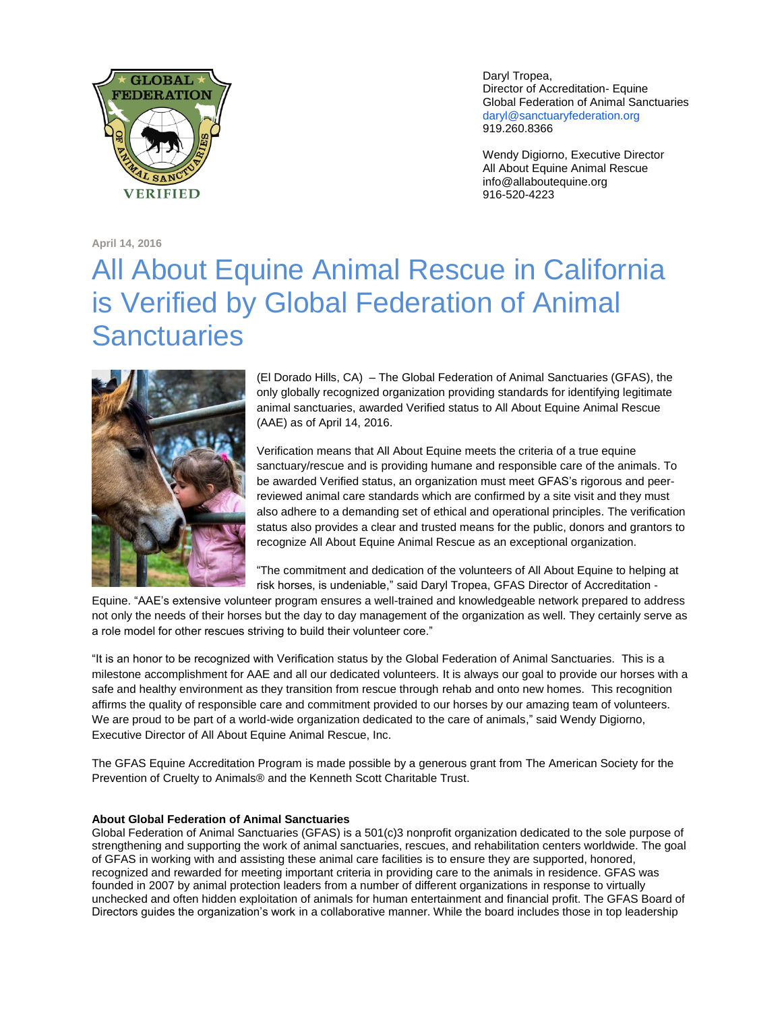

Daryl Tropea, Director of Accreditation- Equine Global Federation of Animal Sanctuaries [daryl@sanctuaryfederation.org](mailto:daryl@sanctuaryfederation.org) 919.260.8366

Wendy Digiorno, Executive Director All About Equine Animal Rescue info@allaboutequine.org 916-520-4223

**April 14, 2016**

## All About Equine Animal Rescue in California is Verified by Global Federation of Animal **Sanctuaries**



(El Dorado Hills, CA) – The Global Federation of Animal Sanctuaries (GFAS), the only globally recognized organization providing standards for identifying legitimate animal sanctuaries, awarded Verified status to All About Equine Animal Rescue (AAE) as of April 14, 2016.

Verification means that All About Equine meets the criteria of a true equine sanctuary/rescue and is providing humane and responsible care of the animals. To be awarded Verified status, an organization must meet GFAS's rigorous and peerreviewed animal care standards which are confirmed by a site visit and they must also adhere to a demanding set of ethical and operational principles. The verification status also provides a clear and trusted means for the public, donors and grantors to recognize All About Equine Animal Rescue as an exceptional organization.

"The commitment and dedication of the volunteers of All About Equine to helping at risk horses, is undeniable," said Daryl Tropea, GFAS Director of Accreditation -

Equine. "AAE's extensive volunteer program ensures a well-trained and knowledgeable network prepared to address not only the needs of their horses but the day to day management of the organization as well. They certainly serve as a role model for other rescues striving to build their volunteer core."

"It is an honor to be recognized with Verification status by the Global Federation of Animal Sanctuaries. This is a milestone accomplishment for AAE and all our dedicated volunteers. It is always our goal to provide our horses with a safe and healthy environment as they transition from rescue through rehab and onto new homes. This recognition affirms the quality of responsible care and commitment provided to our horses by our amazing team of volunteers. We are proud to be part of a world-wide organization dedicated to the care of animals," said Wendy Digiorno, Executive Director of All About Equine Animal Rescue, Inc.

The GFAS Equine Accreditation Program is made possible by a generous grant from The American Society for the Prevention of Cruelty to Animals® and the Kenneth Scott Charitable Trust.

## **About Global Federation of Animal Sanctuaries**

Global Federation of Animal Sanctuaries (GFAS) is a 501(c)3 nonprofit organization dedicated to the sole purpose of strengthening and supporting the work of animal sanctuaries, rescues, and rehabilitation centers worldwide. The goal of GFAS in working with and assisting these animal care facilities is to ensure they are supported, honored, recognized and rewarded for meeting important criteria in providing care to the animals in residence. GFAS was founded in 2007 by animal protection leaders from a number of different organizations in response to virtually unchecked and often hidden exploitation of animals for human entertainment and financial profit. The GFAS Board of Directors guides the organization's work in a collaborative manner. While the board includes those in top leadership